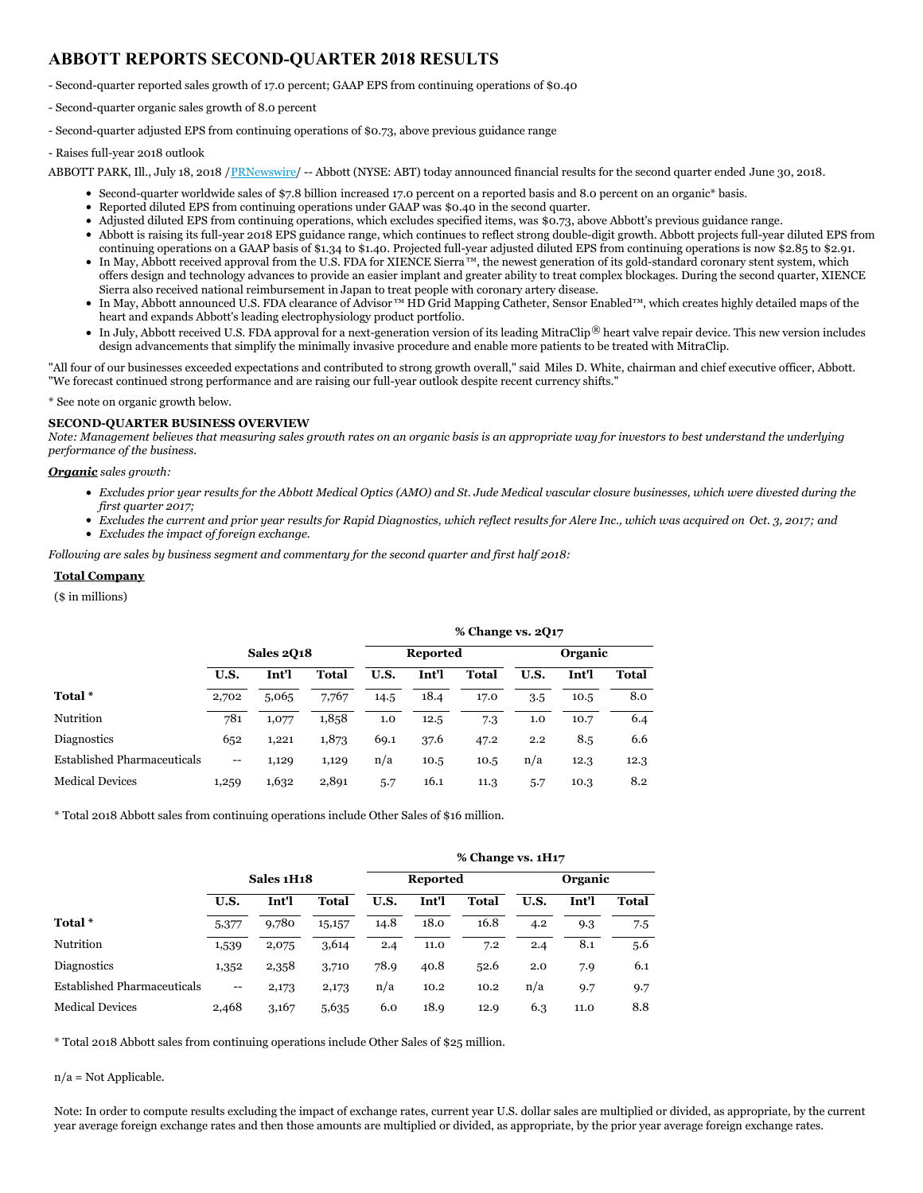# **ABBOTT REPORTS SECOND-QUARTER 2018 RESULTS**

- Second-quarter reported sales growth of 17.0 percent; GAAP EPS from continuing operations of \$0.40

- Second-quarter organic sales growth of 8.0 percent

- Second-quarter adjusted EPS from continuing operations of \$0.73, above previous guidance range

- Raises full-year 2018 outlook

ABBOTT PARK, Ill., July 18, 2018 /[PRNewswire](http://www.prnewswire.com/)/ -- Abbott (NYSE: ABT) today announced financial results for the second quarter ended June 30, 2018.

- Second-quarter worldwide sales of \$7.8 billion increased 17.0 percent on a reported basis and 8.0 percent on an organic\* basis.
- Reported diluted EPS from continuing operations under GAAP was \$0.40 in the second quarter.
- Adjusted diluted EPS from continuing operations, which excludes specified items, was \$0.73, above Abbott's previous guidance range.
- Abbott is raising its full-year 2018 EPS guidance range, which continues to reflect strong double-digit growth. Abbott projects full-year diluted EPS from continuing operations on a GAAP basis of \$1.34 to \$1.40. Projected full-year adjusted diluted EPS from continuing operations is now \$2.85 to \$2.91.
- In May, Abbott received approval from the U.S. FDA for XIENCE Sierra™, the newest generation of its gold-standard coronary stent system, which offers design and technology advances to provide an easier implant and greater ability to treat complex blockages. During the second quarter, XIENCE Sierra also received national reimbursement in Japan to treat people with coronary artery disease.
- In May, Abbott announced U.S. FDA clearance of Advisor™ HD Grid Mapping Catheter, Sensor Enabled™, which creates highly detailed maps of the heart and expands Abbott's leading electrophysiology product portfolio.
- In July, Abbott received U.S. FDA approval for a next-generation version of its leading MitraClip® heart valve repair device. This new version includes design advancements that simplify the minimally invasive procedure and enable more patients to be treated with MitraClip.

"All four of our businesses exceeded expectations and contributed to strong growth overall," said Miles D. White, chairman and chief executive officer, Abbott. "We forecast continued strong performance and are raising our full-year outlook despite recent currency shifts."

\* See note on organic growth below.

### **SECOND-QUARTER BUSINESS OVERVIEW**

Note: Management believes that measuring sales growth rates on an organic basis is an appropriate way for investors to best understand the underlying *performance of the business.*

### *Organic sales growth:*

- Excludes prior year results for the Abbott Medical Optics (AMO) and St. Jude Medical vascular closure businesses, which were divested during the *first quarter 2017;*
- Excludes the current and prior year results for Rapid Diagnostics, which reflect results for Alere Inc., which was acquired on Oct. 3, 2017; and
- *Excludes the impact of foreign exchange.*

*Following are sales by business segment and commentary for the second quarter and first half 2018:*

### **Total Company**

(\$ in millions)

|                                    |                                       |       |       |      |                 | % Change vs. 2Q17 |      |         |       |  |  |  |  |  |  |
|------------------------------------|---------------------------------------|-------|-------|------|-----------------|-------------------|------|---------|-------|--|--|--|--|--|--|
|                                    | <b>Sales 2018</b>                     |       |       |      | <b>Reported</b> |                   |      | Organic |       |  |  |  |  |  |  |
|                                    | U.S.                                  | Int'l | Total | U.S. | Int'l           | Total             | U.S. | Int'l   | Total |  |  |  |  |  |  |
| Total *                            | 2,702                                 | 5,065 | 7,767 | 14.5 | 18.4            | 17.0              | 3.5  | 10.5    | 8.0   |  |  |  |  |  |  |
| Nutrition                          | 781                                   | 1,077 | 1,858 | 1.0  | 12.5            | 7.3               | 1.0  | 10.7    | 6.4   |  |  |  |  |  |  |
| <b>Diagnostics</b>                 | 652                                   | 1,221 | 1,873 | 69.1 | 37.6            | 47.2              | 2.2  | 8.5     | 6.6   |  |  |  |  |  |  |
| <b>Established Pharmaceuticals</b> | $\hspace{0.05cm}$ – $\hspace{0.05cm}$ | 1,129 | 1,129 | n/a  | 10.5            | 10.5              | n/a  | 12.3    | 12.3  |  |  |  |  |  |  |
| <b>Medical Devices</b>             | 1,259                                 | 1,632 | 2,891 | 5.7  | 16.1            | 11.3              | 5.7  | 10.3    | 8.2   |  |  |  |  |  |  |

\* Total 2018 Abbott sales from continuing operations include Other Sales of \$16 million.

|                                    |                                       |            |        |      |                 |              | % Change vs. 1H17 |                |       |  |  |  |
|------------------------------------|---------------------------------------|------------|--------|------|-----------------|--------------|-------------------|----------------|-------|--|--|--|
|                                    |                                       | Sales 1H18 |        |      | <b>Reported</b> |              |                   | <b>Organic</b> |       |  |  |  |
|                                    | U.S.                                  | Int'l      | Total  | U.S. | Int'l           | <b>Total</b> | U.S.              | Int'l          | Total |  |  |  |
| Total <sup>*</sup>                 | 5,377                                 | 9,780      | 15,157 | 14.8 | 18.0            | 16.8         | 4.2               | 9.3            | 7.5   |  |  |  |
| Nutrition                          | 1,539                                 | 2,075      | 3,614  | 2.4  | 11.0            | 7.2          | 2.4               | 8.1            | 5.6   |  |  |  |
| <b>Diagnostics</b>                 | 1,352                                 | 2,358      | 3,710  | 78.9 | 40.8            | 52.6         | 2.0               | 7.9            | 6.1   |  |  |  |
| <b>Established Pharmaceuticals</b> | $\hspace{0.05cm}$ – $\hspace{0.05cm}$ | 2,173      | 2,173  | n/a  | 10.2            | 10.2         | n/a               | 9.7            | 9.7   |  |  |  |
| <b>Medical Devices</b>             | 2,468                                 | 3,167      | 5,635  | 6.0  | 18.9            | 12.9         | 6.3               | 11.0           | 8.8   |  |  |  |

\* Total 2018 Abbott sales from continuing operations include Other Sales of \$25 million.

n/a = Not Applicable.

Note: In order to compute results excluding the impact of exchange rates, current year U.S. dollar sales are multiplied or divided, as appropriate, by the current year average foreign exchange rates and then those amounts are multiplied or divided, as appropriate, by the prior year average foreign exchange rates.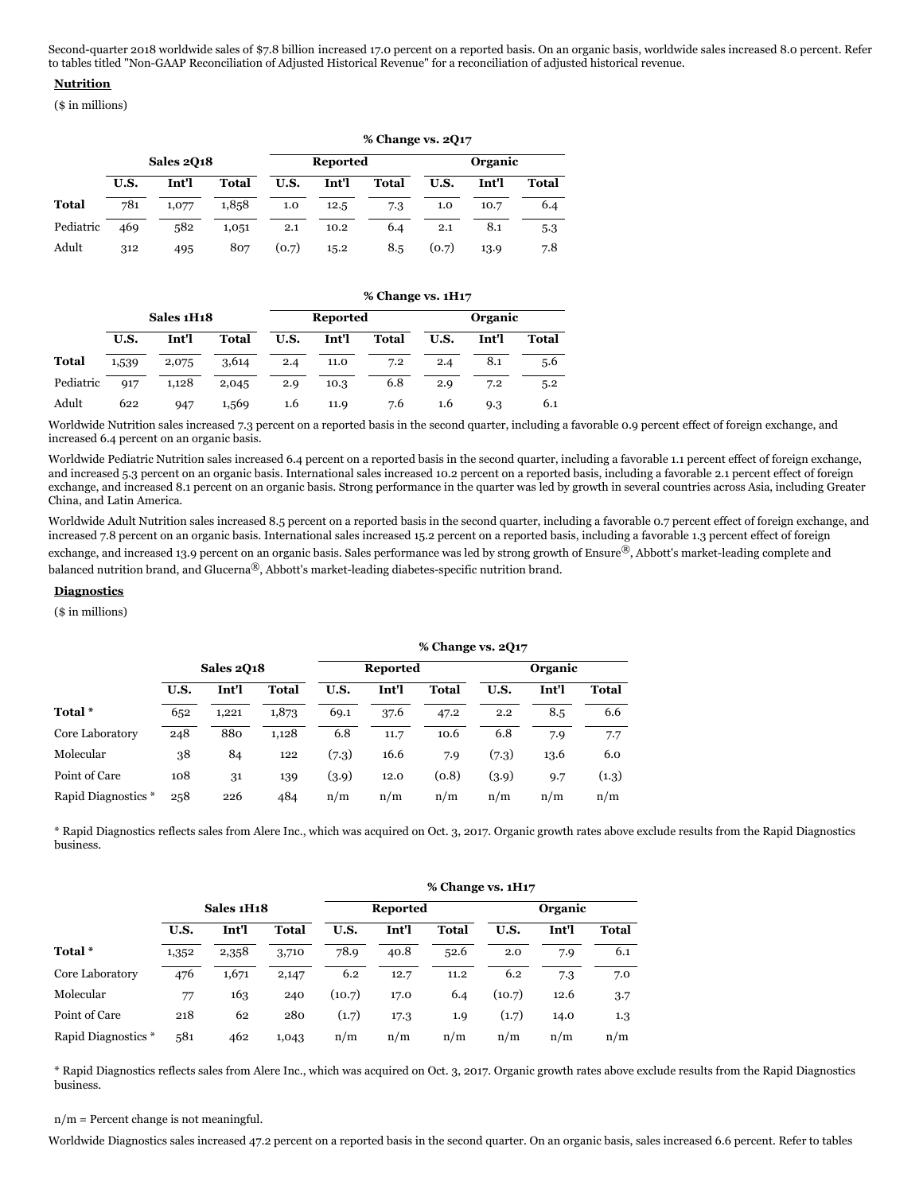Second-quarter 2018 worldwide sales of \$7.8 billion increased 17.0 percent on a reported basis. On an organic basis, worldwide sales increased 8.0 percent. Refer to tables titled "Non-GAAP Reconciliation of Adjusted Historical Revenue" for a reconciliation of adjusted historical revenue.

### **Nutrition**

(\$ in millions)

|              |                   |       |              | % Change vs. 2Q17 |                 |              |       |         |              |  |  |  |
|--------------|-------------------|-------|--------------|-------------------|-----------------|--------------|-------|---------|--------------|--|--|--|
|              | <b>Sales 2018</b> |       |              |                   | <b>Reported</b> |              |       | Organic |              |  |  |  |
|              | U.S.              | Int'l | <b>Total</b> | U.S.              | Int'l           | <b>Total</b> | U.S.  | Int'l   | <b>Total</b> |  |  |  |
| <b>Total</b> | 781               | 1,077 | 1,858        | 1.0               | 12.5            | 7.3          | 1.0   | 10.7    | 6.4          |  |  |  |
| Pediatric    | 469               | 582   | 1,051        | 2.1               | 10.2            | 6.4          | 2.1   | 8.1     | 5.3          |  |  |  |
| Adult        | 312               | 495   | 807          | (0.7)             | 15.2            | 8.5          | (0.7) | 13.9    | 7.8          |  |  |  |

|              |            |       |              |      | % Change vs. 1H17 |              |         |       |       |  |  |  |  |
|--------------|------------|-------|--------------|------|-------------------|--------------|---------|-------|-------|--|--|--|--|
|              | Sales 1H18 |       |              |      | <b>Reported</b>   |              | Organic |       |       |  |  |  |  |
|              | U.S.       | Int'l | <b>Total</b> | U.S. | Int'l             | <b>Total</b> | U.S.    | Int'l | Total |  |  |  |  |
| <b>Total</b> | 1,539      | 2,075 | 3,614        | 2.4  | 11.0              | 7.2          | 2.4     | 8.1   | 5.6   |  |  |  |  |
| Pediatric    | 917        | 1,128 | 2,045        | 2.9  | 10.3              | 6.8          | 2.9     | 7.2   | 5.2   |  |  |  |  |
| Adult        | 622        | 947   | 1,569        | 1.6  | 11.9              | 7.6          | 1.6     | 9.3   | 6.1   |  |  |  |  |

Worldwide Nutrition sales increased 7.3 percent on a reported basis in the second quarter, including a favorable 0.9 percent effect of foreign exchange, and increased 6.4 percent on an organic basis.

Worldwide Pediatric Nutrition sales increased 6.4 percent on a reported basis in the second quarter, including a favorable 1.1 percent effect of foreign exchange, and increased 5.3 percent on an organic basis. International sales increased 10.2 percent on a reported basis, including a favorable 2.1 percent effect of foreign exchange, and increased 8.1 percent on an organic basis. Strong performance in the quarter was led by growth in several countries across Asia, including Greater China, and Latin America.

Worldwide Adult Nutrition sales increased 8.5 percent on a reported basis in the second quarter, including a favorable 0.7 percent effect of foreign exchange, and increased 7.8 percent on an organic basis. International sales increased 15.2 percent on a reported basis, including a favorable 1.3 percent effect of foreign exchange, and increased 13.9 percent on an organic basis. Sales performance was led by strong growth of Ensure®, Abbott's market-leading complete and balanced nutrition brand, and Glucerna®, Abbott's market-leading diabetes-specific nutrition brand.

#### **Diagnostics**

(\$ in millions)

|                     |                   |       |       |       |                 | $\frac{1}{20}$ change $\frac{1}{20}$ = $\frac{1}{21}$ |       |         |              |
|---------------------|-------------------|-------|-------|-------|-----------------|-------------------------------------------------------|-------|---------|--------------|
|                     | <b>Sales 2018</b> |       |       |       | <b>Reported</b> |                                                       |       | Organic |              |
|                     | U.S.              | Int'l | Total | U.S.  | Int'l           | <b>Total</b>                                          | U.S.  | Int'l   | <b>Total</b> |
| Total *             | 652               | 1.221 | 1,873 | 69.1  | 37.6            | 47.2                                                  | 2.2   | 8.5     | 6.6          |
| Core Laboratory     | 248               | 880   | 1.128 | 6.8   | 11.7            | 10.6                                                  | 6.8   | 7.9     | 7.7          |
| Molecular           | 38                | 84    | 122   | (7.3) | 16.6            | 7.9                                                   | (7.3) | 13.6    | 6.0          |
| Point of Care       | 108               | 31    | 139   | (3.9) | 12.0            | (0.8)                                                 | (3.9) | 9.7     | (1.3)        |
| Rapid Diagnostics * | 258               | 226   | 484   | n/m   | n/m             | n/m                                                   | n/m   | n/m     | n/m          |

\* Rapid Diagnostics reflects sales from Alere Inc., which was acquired on Oct. 3, 2017. Organic growth rates above exclude results from the Rapid Diagnostics business.

|                     |            |       |              |        | % Change vs. 1H <sub>17</sub> |              |        |         |       |  |  |  |  |  |
|---------------------|------------|-------|--------------|--------|-------------------------------|--------------|--------|---------|-------|--|--|--|--|--|
|                     | Sales 1H18 |       |              |        | <b>Reported</b>               |              |        | Organic |       |  |  |  |  |  |
|                     | U.S.       | Int'l | <b>Total</b> | U.S.   | Int'l                         | <b>Total</b> | U.S.   | Int'l   | Total |  |  |  |  |  |
| Total <sup>*</sup>  | 1,352      | 2,358 | 3,710        | 78.9   | 40.8                          | 52.6         | 2.0    | 7.9     | 6.1   |  |  |  |  |  |
| Core Laboratory     | 476        | 1,671 | 2,147        | 6.2    | 12.7                          | 11.2         | 6.2    | 7.3     | 7.0   |  |  |  |  |  |
| Molecular           | 77         | 163   | 240          | (10.7) | 17.0                          | 6.4          | (10.7) | 12.6    | 3.7   |  |  |  |  |  |
| Point of Care       | 218        | 62    | 280          | (1.7)  | 17.3                          | 1.9          | (1.7)  | 14.0    | 1.3   |  |  |  |  |  |
| Rapid Diagnostics * | 581        | 462   | 1,043        | n/m    | n/m                           | n/m          | n/m    | n/m     | n/m   |  |  |  |  |  |

\* Rapid Diagnostics reflects sales from Alere Inc., which was acquired on Oct. 3, 2017. Organic growth rates above exclude results from the Rapid Diagnostics business.

n/m = Percent change is not meaningful.

Worldwide Diagnostics sales increased 47.2 percent on a reported basis in the second quarter. On an organic basis, sales increased 6.6 percent. Refer to tables

#### **% Change vs. 2Q17**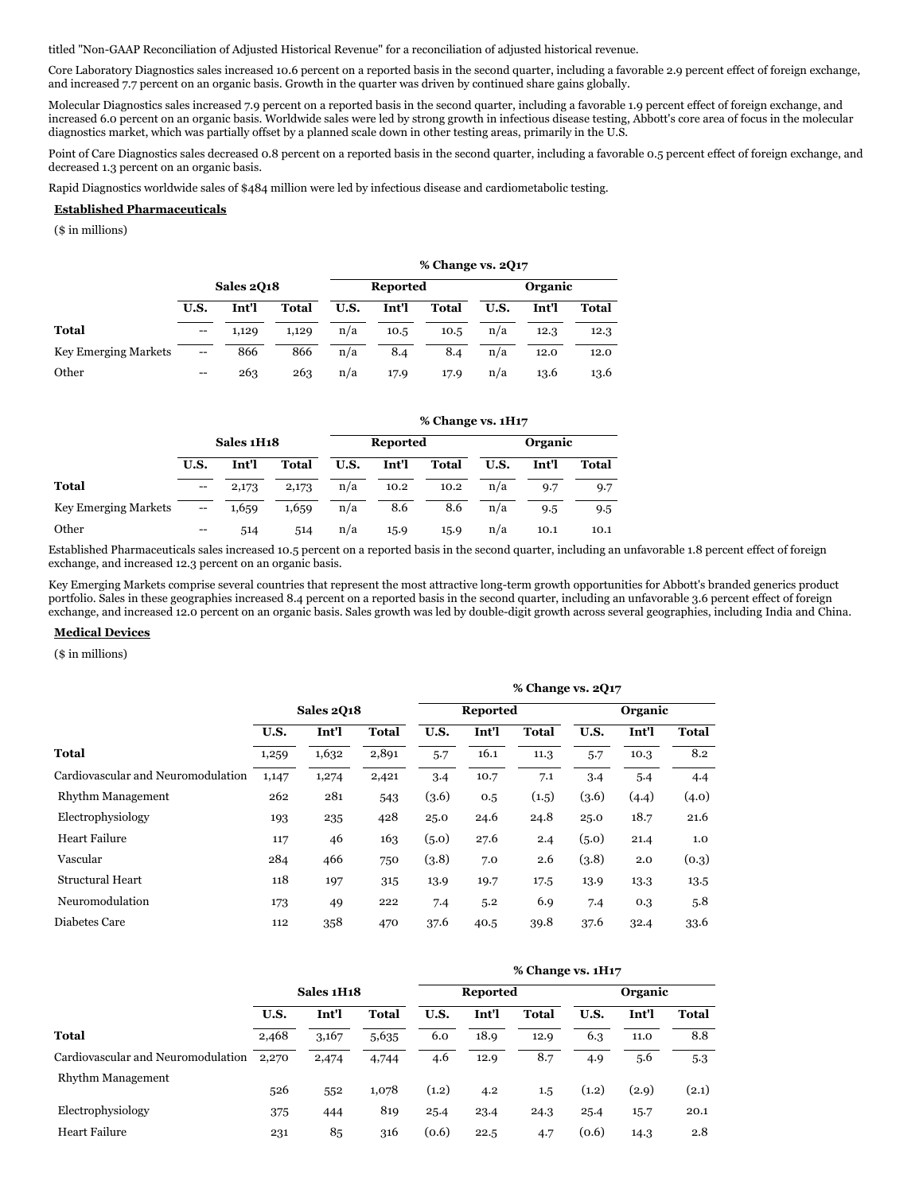titled "Non-GAAP Reconciliation of Adjusted Historical Revenue" for a reconciliation of adjusted historical revenue.

Core Laboratory Diagnostics sales increased 10.6 percent on a reported basis in the second quarter, including a favorable 2.9 percent effect of foreign exchange, and increased 7.7 percent on an organic basis. Growth in the quarter was driven by continued share gains globally.

Molecular Diagnostics sales increased 7.9 percent on a reported basis in the second quarter, including a favorable 1.9 percent effect of foreign exchange, and increased 6.0 percent on an organic basis. Worldwide sales were led by strong growth in infectious disease testing, Abbott's core area of focus in the molecular diagnostics market, which was partially offset by a planned scale down in other testing areas, primarily in the U.S.

Point of Care Diagnostics sales decreased 0.8 percent on a reported basis in the second quarter, including a favorable 0.5 percent effect of foreign exchange, and decreased 1.3 percent on an organic basis.

Rapid Diagnostics worldwide sales of \$484 million were led by infectious disease and cardiometabolic testing.

#### **Established Pharmaceuticals**

(\$ in millions)

|                             |                                       |       |              |      |                 | % Change vs. 2Q17 |      |         |              |  |  |
|-----------------------------|---------------------------------------|-------|--------------|------|-----------------|-------------------|------|---------|--------------|--|--|
|                             | <b>Sales 2018</b>                     |       |              |      | <b>Reported</b> |                   |      | Organic |              |  |  |
|                             | U.S.                                  | Int'l | <b>Total</b> | U.S. | Int'l           | <b>Total</b>      | U.S. | Int'l   | <b>Total</b> |  |  |
| <b>Total</b>                | $\hspace{0.05cm}$ – $\hspace{0.05cm}$ | 1,129 | 1,129        | n/a  | 10.5            | 10.5              | n/a  | 12.3    | 12.3         |  |  |
| <b>Key Emerging Markets</b> | $\hspace{0.05cm}$ – $\hspace{0.05cm}$ | 866   | 866          | n/a  | 8.4             | 8.4               | n/a  | 12.0    | 12.0         |  |  |
| Other                       | $-$                                   | 263   | 263          | n/a  | 17.9            | 17.9              | n/a  | 13.6    | 13.6         |  |  |

# **% Change vs. 1H17 Sales 1H18 Reported Organic U.S. Int'l Total U.S. Int'l Total U.S. Int'l Total Total** -- 2,173 2,173 n/a 10.2 10.2 n/a 9.7 9.7 Key Emerging Markets -- 1,659 1,659 n/a 8.6 8.6 n/a 9.5 9.5 Other -- 514 514 n/a 15.9 15.9 n/a 10.1 10.1

Established Pharmaceuticals sales increased 10.5 percent on a reported basis in the second quarter, including an unfavorable 1.8 percent effect of foreign exchange, and increased 12.3 percent on an organic basis.

Key Emerging Markets comprise several countries that represent the most attractive long-term growth opportunities for Abbott's branded generics product portfolio. Sales in these geographies increased 8.4 percent on a reported basis in the second quarter, including an unfavorable 3.6 percent effect of foreign exchange, and increased 12.0 percent on an organic basis. Sales growth was led by double-digit growth across several geographies, including India and China.

#### **Medical Devices**

(\$ in millions)

|                                    |                   |       |              |       |       | % Change vs. 2017 |       |                 |       |  |         |  |  |
|------------------------------------|-------------------|-------|--------------|-------|-------|-------------------|-------|-----------------|-------|--|---------|--|--|
|                                    | <b>Sales 2018</b> |       |              |       |       |                   |       | <b>Reported</b> |       |  | Organic |  |  |
|                                    | U.S.              | Int'l | <b>Total</b> | U.S.  | Int'l | <b>Total</b>      | U.S.  | Int'l           | Total |  |         |  |  |
| <b>Total</b>                       | 1,259             | 1,632 | 2,891        | 5.7   | 16.1  | 11.3              | 5.7   | 10.3            | 8.2   |  |         |  |  |
| Cardiovascular and Neuromodulation | 1,147             | 1,274 | 2,421        | 3.4   | 10.7  | 7.1               | 3.4   | 5.4             | 4.4   |  |         |  |  |
| Rhythm Management                  | 262               | 281   | 543          | (3.6) | 0.5   | (1.5)             | (3.6) | (4.4)           | (4.0) |  |         |  |  |
| Electrophysiology                  | 193               | 235   | 428          | 25.0  | 24.6  | 24.8              | 25.0  | 18.7            | 21.6  |  |         |  |  |
| Heart Failure                      | 117               | 46    | 163          | (5.0) | 27.6  | 2.4               | (5.0) | 21.4            | 1.0   |  |         |  |  |
| Vascular                           | 284               | 466   | 750          | (3.8) | 7.0   | 2.6               | (3.8) | 2.0             | (0.3) |  |         |  |  |
| Structural Heart                   | 118               | 197   | 315          | 13.9  | 19.7  | 17.5              | 13.9  | 13.3            | 13.5  |  |         |  |  |
| Neuromodulation                    | 173               | 49    | 222          | 7.4   | 5.2   | 6.9               | 7.4   | 0.3             | 5.8   |  |         |  |  |
| Diabetes Care                      | 112               | 358   | 470          | 37.6  | 40.5  | 39.8              | 37.6  | 32.4            | 33.6  |  |         |  |  |

|                                    |            |       |       |       |                 | % Change vs. 1H17 |       |         |              |  |  |
|------------------------------------|------------|-------|-------|-------|-----------------|-------------------|-------|---------|--------------|--|--|
|                                    | Sales 1H18 |       |       |       | <b>Reported</b> |                   |       | Organic |              |  |  |
|                                    | U.S.       | Int'l | Total | U.S.  | Int'l           | <b>Total</b>      | U.S.  | Int'l   | <b>Total</b> |  |  |
| Total                              | 2,468      | 3,167 | 5,635 | 6.0   | 18.9            | 12.9              | 6.3   | 11.0    | 8.8          |  |  |
| Cardiovascular and Neuromodulation | 2,270      | 2,474 | 4,744 | 4.6   | 12.9            | 8.7               | 4.9   | 5.6     | 5.3          |  |  |
| Rhythm Management                  | 526        | 552   | 1,078 | (1.2) | 4.2             | $1.5\phantom{0}$  | (1.2) | (2.9)   | (2.1)        |  |  |
| Electrophysiology                  | 375        | 444   | 819   | 25.4  | 23.4            | 24.3              | 25.4  | 15.7    | 20.1         |  |  |
| Heart Failure                      | 231        | 85    | 316   | (0.6) | 22.5            | 4.7               | (0.6) | 14.3    | 2.8          |  |  |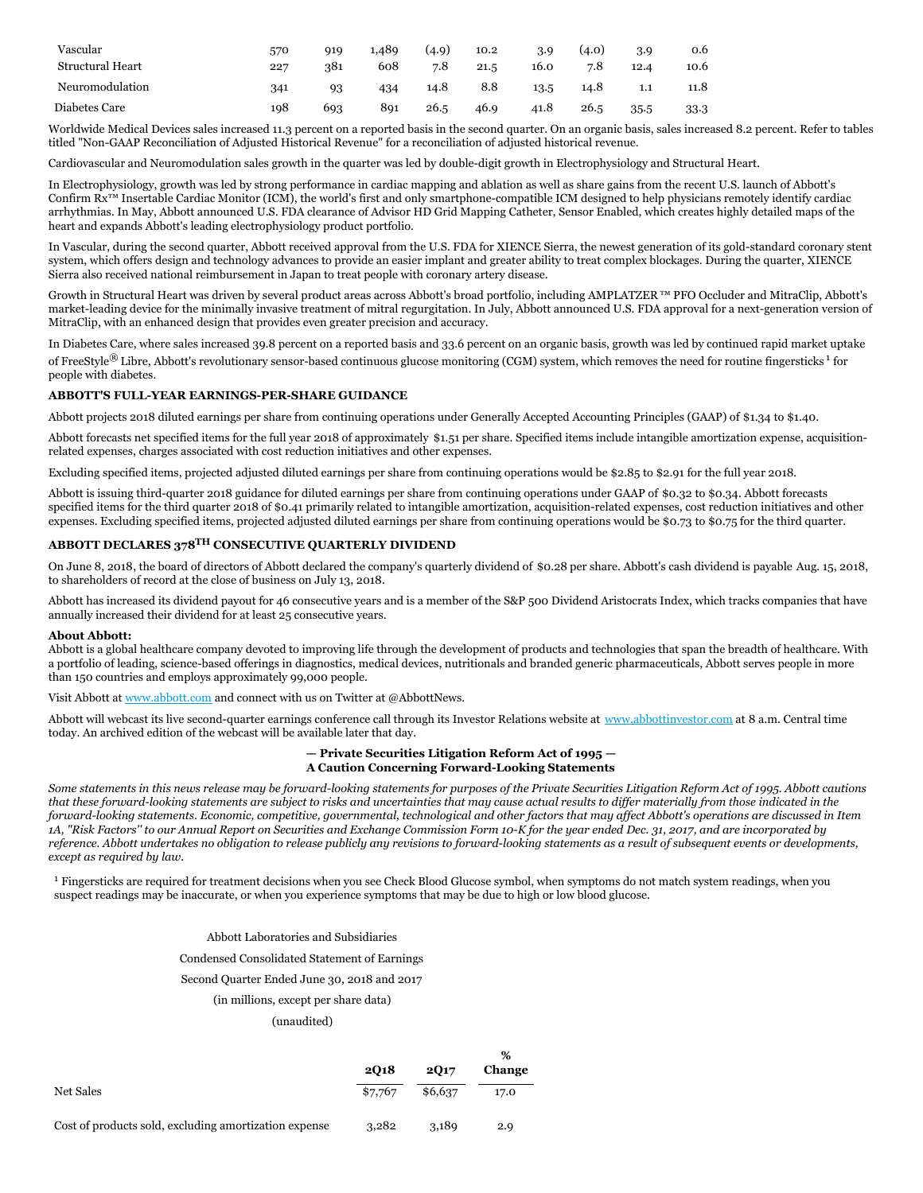| Vascular<br>Structural Heart | 570<br>227 | 919<br>381 | 1,489<br>608 | (4.9)<br>7.8 | 10.2<br>21.5 | 3.9<br>16.0 | (4.0)<br>7.8 | 3.9<br>12.4 | 0.6<br>10.6 |
|------------------------------|------------|------------|--------------|--------------|--------------|-------------|--------------|-------------|-------------|
| Neuromodulation              | 341        | 93         | 434          | 14.8         | 8.8          | 13.5        | 14.8         | 1.1         | 11.8        |
| Diabetes Care                | 198        | 693        | 891          | 26.5         | 46.9         | 41.8        | 26.5         | 35.5        | 33.3        |

Worldwide Medical Devices sales increased 11.3 percent on a reported basis in the second quarter. On an organic basis, sales increased 8.2 percent. Refer to tables titled "Non-GAAP Reconciliation of Adjusted Historical Revenue" for a reconciliation of adjusted historical revenue.

Cardiovascular and Neuromodulation sales growth in the quarter was led by double-digit growth in Electrophysiology and Structural Heart.

In Electrophysiology, growth was led by strong performance in cardiac mapping and ablation as well as share gains from the recent U.S. launch of Abbott's Confirm Rx™ Insertable Cardiac Monitor (ICM), the world's first and only smartphone-compatible ICM designed to help physicians remotely identify cardiac arrhythmias. In May, Abbott announced U.S. FDA clearance of Advisor HD Grid Mapping Catheter, Sensor Enabled, which creates highly detailed maps of the heart and expands Abbott's leading electrophysiology product portfolio.

In Vascular, during the second quarter, Abbott received approval from the U.S. FDA for XIENCE Sierra, the newest generation of its gold-standard coronary stent system, which offers design and technology advances to provide an easier implant and greater ability to treat complex blockages. During the quarter, XIENCE Sierra also received national reimbursement in Japan to treat people with coronary artery disease.

Growth in Structural Heart was driven by several product areas across Abbott's broad portfolio, including AMPLATZER™ PFO Occluder and MitraClip, Abbott's market-leading device for the minimally invasive treatment of mitral regurgitation. In July, Abbott announced U.S. FDA approval for a next-generation version of MitraClip, with an enhanced design that provides even greater precision and accuracy.

In Diabetes Care, where sales increased 39.8 percent on a reported basis and 33.6 percent on an organic basis, growth was led by continued rapid market uptake of FreeStyle® Libre, Abbott's revolutionary sensor-based continuous glucose monitoring (CGM) system, which removes the need for routine fingersticks<sup>1</sup> for people with diabetes.

### **ABBOTT'S FULL-YEAR EARNINGS-PER-SHARE GUIDANCE**

Abbott projects 2018 diluted earnings per share from continuing operations under Generally Accepted Accounting Principles (GAAP) of \$1.34 to \$1.40.

Abbott forecasts net specified items for the full year 2018 of approximately \$1.51 per share. Specified items include intangible amortization expense, acquisitionrelated expenses, charges associated with cost reduction initiatives and other expenses.

Excluding specified items, projected adjusted diluted earnings per share from continuing operations would be \$2.85 to \$2.91 for the full year 2018.

Abbott is issuing third-quarter 2018 guidance for diluted earnings per share from continuing operations under GAAP of \$0.32 to \$0.34. Abbott forecasts specified items for the third quarter 2018 of \$0.41 primarily related to intangible amortization, acquisition-related expenses, cost reduction initiatives and other expenses. Excluding specified items, projected adjusted diluted earnings per share from continuing operations would be \$0.73 to \$0.75 for the third quarter.

### **ABBOTT DECLARES 378 TH CONSECUTIVE QUARTERLY DIVIDEND**

On June 8, 2018, the board of directors of Abbott declared the company's quarterly dividend of \$0.28 per share. Abbott's cash dividend is payable Aug. 15, 2018, to shareholders of record at the close of business on July 13, 2018.

Abbott has increased its dividend payout for 46 consecutive years and is a member of the S&P 500 Dividend Aristocrats Index, which tracks companies that have annually increased their dividend for at least 25 consecutive years.

#### **About Abbott:**

Abbott is a global healthcare company devoted to improving life through the development of products and technologies that span the breadth of healthcare. With a portfolio of leading, science-based offerings in diagnostics, medical devices, nutritionals and branded generic pharmaceuticals, Abbott serves people in more than 150 countries and employs approximately 99,000 people.

Visit Abbott at [www.abbott.com](https://c212.net/c/link/?t=0&l=en&o=2189658-1&h=2730251761&u=http%3A%2F%2Fwww.abbott.com%2F&a=www.abbott.com) and connect with us on Twitter at @AbbottNews.

Abbott will webcast its live second-quarter earnings conference call through its Investor Relations website at [www.abbottinvestor.com](https://c212.net/c/link/?t=0&l=en&o=2189658-1&h=3620146275&u=http%3A%2F%2Fwww.abbottinvestor.com%2F&a=www.abbottinvestor.com) at 8 a.m. Central time today. An archived edition of the webcast will be available later that day.

#### **— Private Securities Litigation Reform Act of 1995 — A Caution Concerning Forward-Looking Statements**

Some statements in this news release may be forward-looking statements for purposes of the Private Securities Litigation Reform Act of 1995. Abbott cautions that these forward-looking statements are subject to risks and uncertainties that may cause actual results to differ materially from those indicated in the forward-looking statements. Economic, competitive, governmental, technological and other factors that may affect Abbott's operations are discussed in Item 1A, "Risk Factors" to our Annual Report on Securities and Exchange Commission Form 10-K for the year ended Dec. 31, 2017, and are incorporated by reference. Abbott undertakes no obligation to release publicly any revisions to forward-looking statements as a result of subsequent events or developments, *except as required by law.*

<sup>1</sup> Fingersticks are required for treatment decisions when you see Check Blood Glucose symbol, when symptoms do not match system readings, when you suspect readings may be inaccurate, or when you experience symptoms that may be due to high or low blood glucose.

#### Abbott Laboratories and Subsidiaries

Condensed Consolidated Statement of Earnings

#### Second Quarter Ended June 30, 2018 and 2017

### (in millions, except per share data)

### (unaudited)

|                                                       |         |         | $\%$   |
|-------------------------------------------------------|---------|---------|--------|
|                                                       | 2018    | 2017    | Change |
| Net Sales                                             | \$7,767 | \$6,637 | 17.0   |
| Cost of products sold, excluding amortization expense | 3.282   | 3,189   | 2.9    |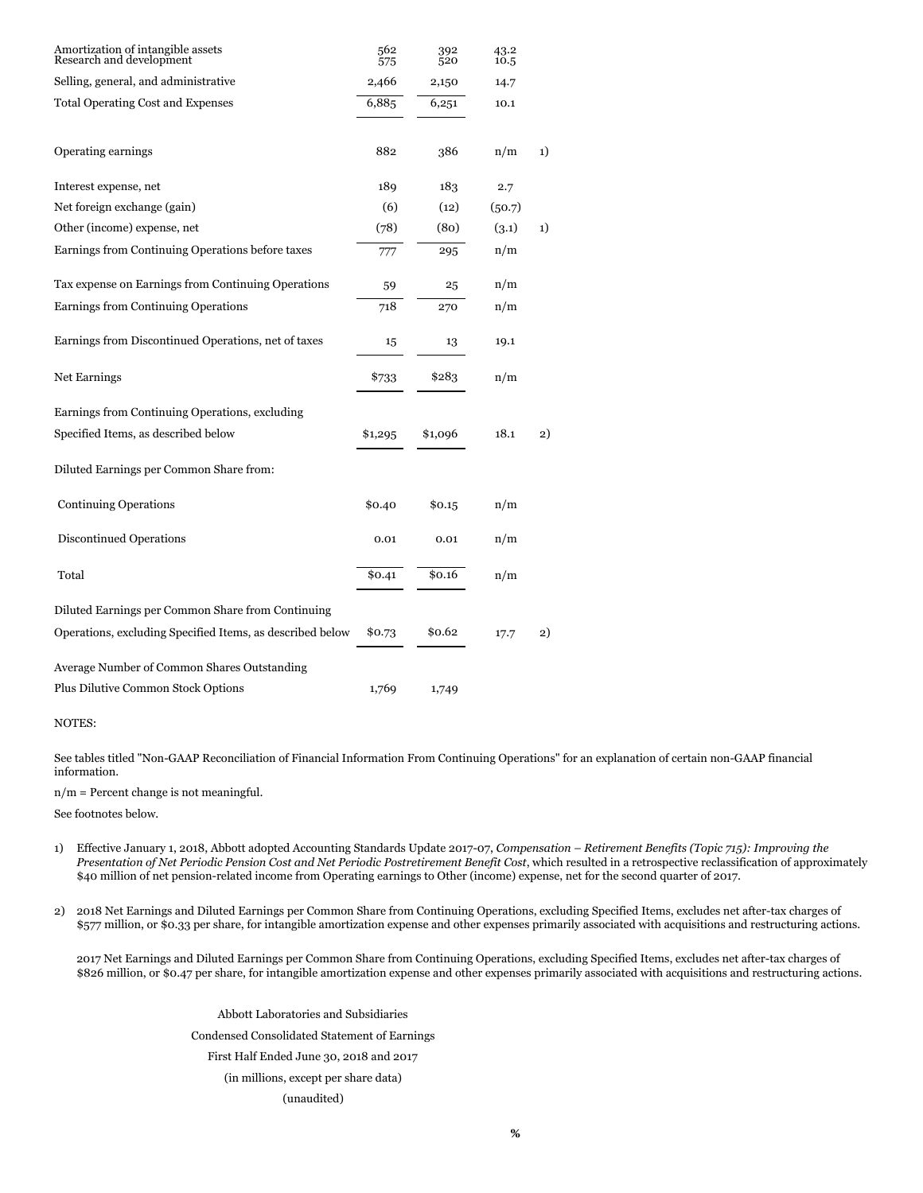| Amortization of intangible assets<br>Research and development | 562<br>575 | 392<br>520 | 43.2<br>10.5 |    |
|---------------------------------------------------------------|------------|------------|--------------|----|
| Selling, general, and administrative                          | 2,466      | 2,150      | 14.7         |    |
| <b>Total Operating Cost and Expenses</b>                      | 6,885      | 6,251      | 10.1         |    |
| Operating earnings                                            | 882        | 386        | n/m          | 1) |
| Interest expense, net                                         | 189        | 183        | 2.7          |    |
| Net foreign exchange (gain)                                   | (6)        | (12)       | (50.7)       |    |
| Other (income) expense, net                                   | (78)       | (80)       | (3.1)        | 1) |
| Earnings from Continuing Operations before taxes              | 777        | 295        | n/m          |    |
| Tax expense on Earnings from Continuing Operations            | 59         | 25         | n/m          |    |
| Earnings from Continuing Operations                           | 718        | 270        | n/m          |    |
| Earnings from Discontinued Operations, net of taxes           | 15         | 13         | 19.1         |    |
| <b>Net Earnings</b>                                           | \$733      | \$283      | n/m          |    |
| Earnings from Continuing Operations, excluding                |            |            |              |    |
| Specified Items, as described below                           | \$1,295    | \$1,096    | 18.1         | 2) |
| Diluted Earnings per Common Share from:                       |            |            |              |    |
| <b>Continuing Operations</b>                                  | \$0.40     | \$0.15     | n/m          |    |
| <b>Discontinued Operations</b>                                | 0.01       | 0.01       | n/m          |    |
| Total                                                         | \$0.41     | \$0.16     | n/m          |    |
| Diluted Earnings per Common Share from Continuing             |            |            |              |    |
| Operations, excluding Specified Items, as described below     | \$0.73     | \$0.62     | 17.7         | 2) |
| Average Number of Common Shares Outstanding                   |            |            |              |    |
| Plus Dilutive Common Stock Options                            | 1,769      | 1,749      |              |    |

NOTES:

See tables titled "Non-GAAP Reconciliation of Financial Information From Continuing Operations" for an explanation of certain non-GAAP financial information.

n/m = Percent change is not meaningful.

See footnotes below.

- 1) Effective January 1, 2018, Abbott adopted Accounting Standards Update 2017-07, *Compensation – Retirement Benefits (Topic 715): Improving the* Presentation of Net Periodic Pension Cost and Net Periodic Postretirement Benefit Cost, which resulted in a retrospective reclassification of approximately \$40 million of net pension-related income from Operating earnings to Other (income) expense, net for the second quarter of 2017.
- 2) 2018 Net Earnings and Diluted Earnings per Common Share from Continuing Operations, excluding Specified Items, excludes net after-tax charges of \$577 million, or \$0.33 per share, for intangible amortization expense and other expenses primarily associated with acquisitions and restructuring actions.

2017 Net Earnings and Diluted Earnings per Common Share from Continuing Operations, excluding Specified Items, excludes net after-tax charges of \$826 million, or \$0.47 per share, for intangible amortization expense and other expenses primarily associated with acquisitions and restructuring actions.

> Abbott Laboratories and Subsidiaries Condensed Consolidated Statement of Earnings First Half Ended June 30, 2018 and 2017 (in millions, except per share data) (unaudited)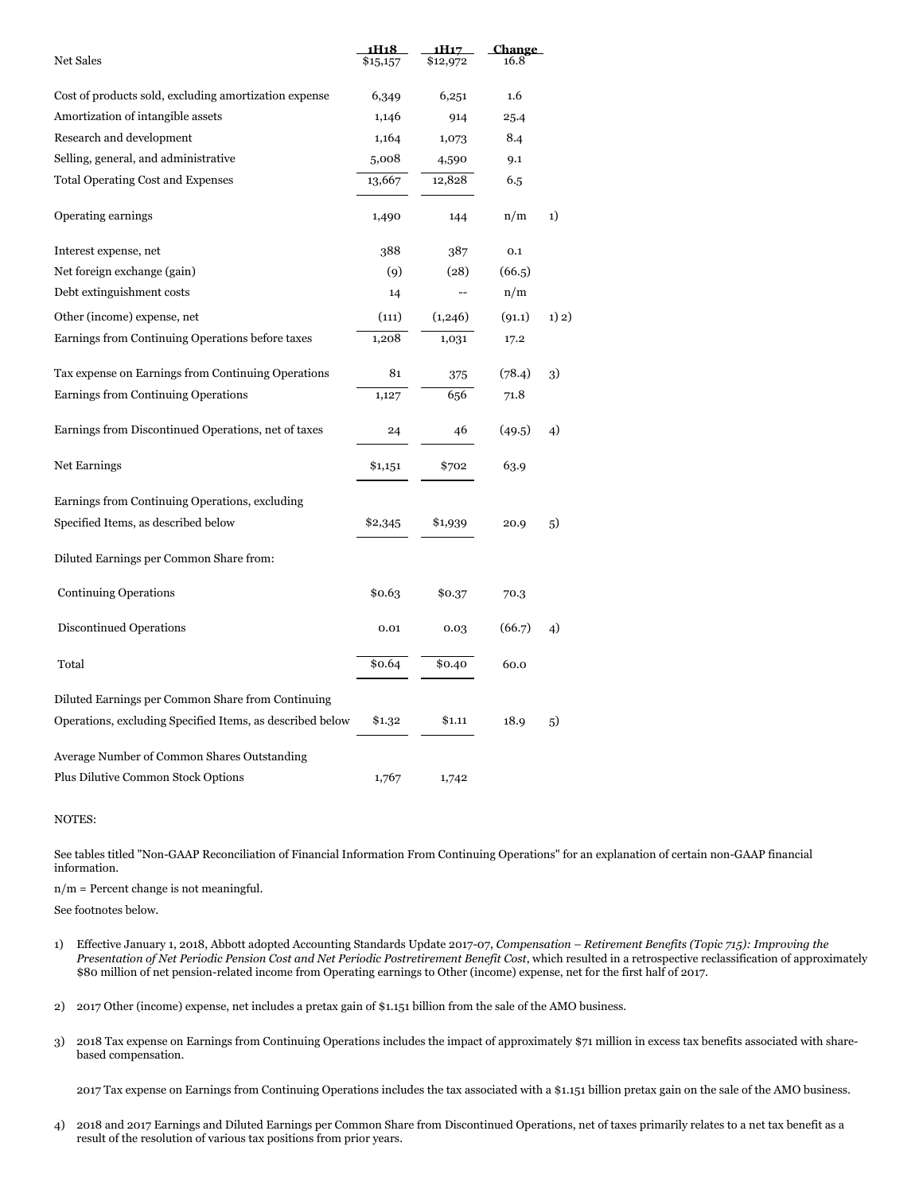| <b>Net Sales</b>                                          | 1H18<br>\$15,157 | 1H17<br>\$12,972 | <b>Change</b><br>16.8 |       |
|-----------------------------------------------------------|------------------|------------------|-----------------------|-------|
|                                                           |                  |                  |                       |       |
| Cost of products sold, excluding amortization expense     | 6,349            | 6,251            | 1.6                   |       |
| Amortization of intangible assets                         | 1,146            | 914              | 25.4                  |       |
| Research and development                                  | 1,164            | 1,073            | 8.4                   |       |
| Selling, general, and administrative                      | 5,008            | 4,590            | 9.1                   |       |
| <b>Total Operating Cost and Expenses</b>                  | 13,667           | 12,828           | 6.5                   |       |
| Operating earnings                                        | 1,490            | 144              | n/m                   | 1)    |
| Interest expense, net                                     | 388              | 387              | 0.1                   |       |
| Net foreign exchange (gain)                               | (9)              | (28)             | (66.5)                |       |
| Debt extinguishment costs                                 | 14               |                  | n/m                   |       |
| Other (income) expense, net                               | (111)            | (1,246)          | (91.1)                | 1) 2) |
| Earnings from Continuing Operations before taxes          | 1,208            | 1,031            | 17.2                  |       |
| Tax expense on Earnings from Continuing Operations        | 81               | 375              | (78.4)                | 3)    |
| Earnings from Continuing Operations                       | 1,127            | 656              | 71.8                  |       |
| Earnings from Discontinued Operations, net of taxes       | 24               | 46               | (49.5)                | 4)    |
| Net Earnings                                              | \$1,151          | \$702            | 63.9                  |       |
| Earnings from Continuing Operations, excluding            |                  |                  |                       |       |
| Specified Items, as described below                       | \$2,345          | \$1,939          | 20.9                  | 5)    |
| Diluted Earnings per Common Share from:                   |                  |                  |                       |       |
| <b>Continuing Operations</b>                              | \$0.63           | \$0.37           | 70.3                  |       |
| Discontinued Operations                                   | 0.01             | 0.03             | (66.7)                | 4)    |
| Total                                                     | \$0.64           | \$0.40           | 60.0                  |       |
| Diluted Earnings per Common Share from Continuing         |                  |                  |                       |       |
| Operations, excluding Specified Items, as described below | \$1.32           | \$1.11           | 18.9                  | 5)    |
| Average Number of Common Shares Outstanding               |                  |                  |                       |       |
| <b>Plus Dilutive Common Stock Options</b>                 | 1,767            | 1,742            |                       |       |

#### NOTES:

See tables titled "Non-GAAP Reconciliation of Financial Information From Continuing Operations" for an explanation of certain non-GAAP financial information.

n/m = Percent change is not meaningful.

See footnotes below.

- 1) Effective January 1, 2018, Abbott adopted Accounting Standards Update 2017-07, *Compensation – Retirement Benefits (Topic 715): Improving the* Presentation of Net Periodic Pension Cost and Net Periodic Postretirement Benefit Cost, which resulted in a retrospective reclassification of approximately \$80 million of net pension-related income from Operating earnings to Other (income) expense, net for the first half of 2017.
- 2) 2017 Other (income) expense, net includes a pretax gain of \$1.151 billion from the sale of the AMO business.
- 3) 2018 Tax expense on Earnings from Continuing Operations includes the impact of approximately \$71 million in excess tax benefits associated with sharebased compensation.

2017 Tax expense on Earnings from Continuing Operations includes the tax associated with a \$1.151 billion pretax gain on the sale of the AMO business.

4) 2018 and 2017 Earnings and Diluted Earnings per Common Share from Discontinued Operations, net of taxes primarily relates to a net tax benefit as a result of the resolution of various tax positions from prior years.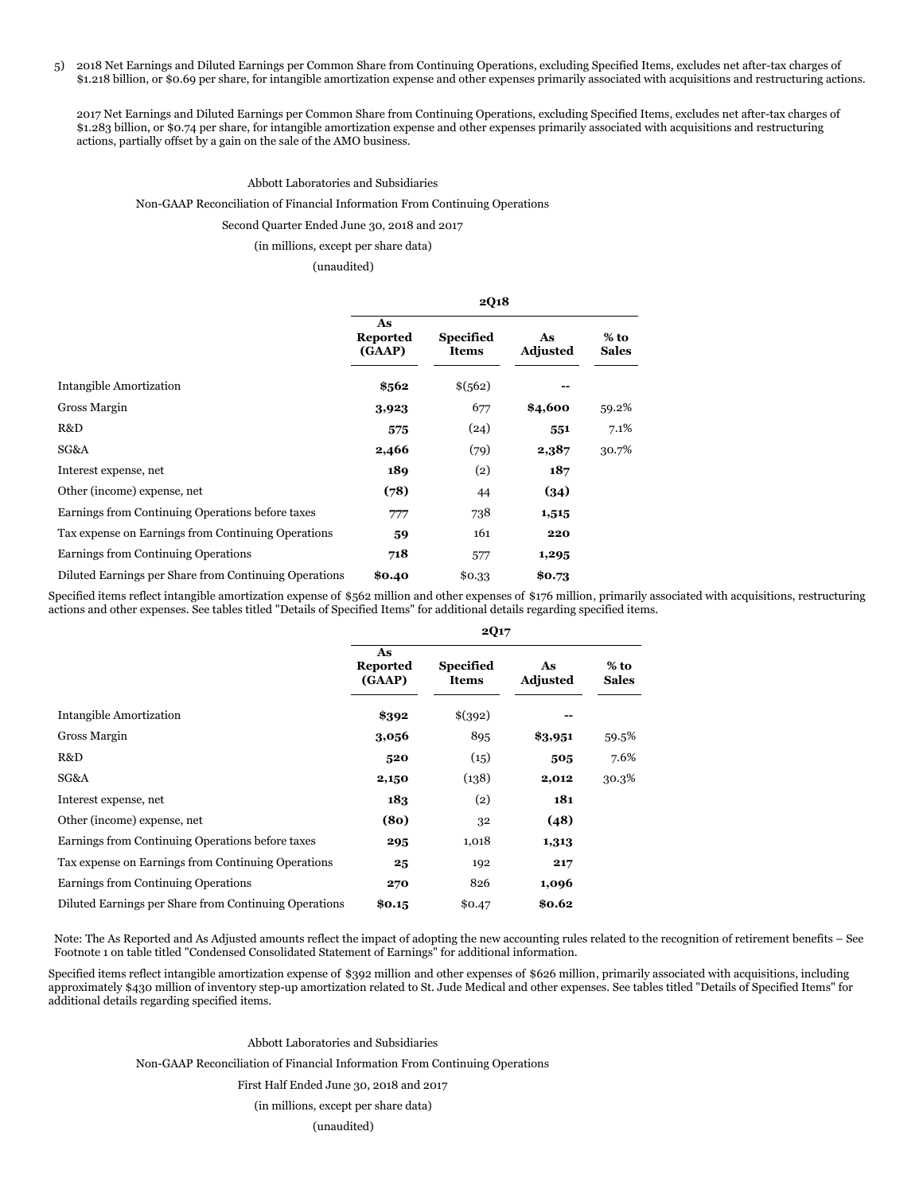5) 2018 Net Earnings and Diluted Earnings per Common Share from Continuing Operations, excluding Specified Items, excludes net after-tax charges of \$1.218 billion, or \$0.69 per share, for intangible amortization expense and other expenses primarily associated with acquisitions and restructuring actions.

2017 Net Earnings and Diluted Earnings per Common Share from Continuing Operations, excluding Specified Items, excludes net after-tax charges of \$1.283 billion, or \$0.74 per share, for intangible amortization expense and other expenses primarily associated with acquisitions and restructuring actions, partially offset by a gain on the sale of the AMO business.

#### Abbott Laboratories and Subsidiaries

### Non-GAAP Reconciliation of Financial Information From Continuing Operations

### Second Quarter Ended June 30, 2018 and 2017

### (in millions, except per share data)

(unaudited)

|                                                       | <b>2Q18</b>                     |                                  |                       |                        |  |  |
|-------------------------------------------------------|---------------------------------|----------------------------------|-----------------------|------------------------|--|--|
|                                                       | As<br><b>Reported</b><br>(GAAP) | <b>Specified</b><br><b>Items</b> | As<br><b>Adjusted</b> | $%$ to<br><b>Sales</b> |  |  |
| Intangible Amortization                               | \$562                           | \$(562)                          |                       |                        |  |  |
| Gross Margin                                          | 3,923                           | 677                              | \$4,600               | 59.2%                  |  |  |
| R&D                                                   | 575                             | (24)                             | 551                   | 7.1%                   |  |  |
| SG&A                                                  | 2,466                           | (79)                             | 2,387                 | 30.7%                  |  |  |
| Interest expense, net                                 | 189                             | (2)                              | 187                   |                        |  |  |
| Other (income) expense, net                           | (78)                            | 44                               | (34)                  |                        |  |  |
| Earnings from Continuing Operations before taxes      | 777                             | 738                              | 1,515                 |                        |  |  |
| Tax expense on Earnings from Continuing Operations    | 59                              | 161                              | 220                   |                        |  |  |
| Earnings from Continuing Operations                   | 718                             | 577                              | 1,295                 |                        |  |  |
| Diluted Earnings per Share from Continuing Operations | \$0.40                          | \$0.33                           | \$0.73                |                        |  |  |

Specified items reflect intangible amortization expense of \$562 million and other expenses of \$176 million, primarily associated with acquisitions, restructuring actions and other expenses. See tables titled "Details of Specified Items" for additional details regarding specified items.

|                                                       | <b>2Q17</b>                     |                                  |                       |                        |  |  |
|-------------------------------------------------------|---------------------------------|----------------------------------|-----------------------|------------------------|--|--|
|                                                       | As<br><b>Reported</b><br>(GAAP) | <b>Specified</b><br><b>Items</b> | As<br><b>Adjusted</b> | $%$ to<br><b>Sales</b> |  |  |
| Intangible Amortization                               | \$392                           | \$(392)                          |                       |                        |  |  |
| Gross Margin                                          | 3,056                           | 895                              | \$3,951               | 59.5%                  |  |  |
| R&D                                                   | 520                             | (15)                             | 505                   | 7.6%                   |  |  |
| SG&A                                                  | 2,150                           | (138)                            | 2,012                 | 30.3%                  |  |  |
| Interest expense, net                                 | 183                             | (2)                              | 181                   |                        |  |  |
| Other (income) expense, net                           | (8 <sub>0</sub> )               | 32                               | (48)                  |                        |  |  |
| Earnings from Continuing Operations before taxes      | 295                             | 1,018                            | 1,313                 |                        |  |  |
| Tax expense on Earnings from Continuing Operations    | 25                              | 192                              | 217                   |                        |  |  |
| Earnings from Continuing Operations                   | 270                             | 826                              | 1,096                 |                        |  |  |
| Diluted Earnings per Share from Continuing Operations | \$0.15                          | \$0.47                           | \$0.62                |                        |  |  |

Note: The As Reported and As Adjusted amounts reflect the impact of adopting the new accounting rules related to the recognition of retirement benefits – See Footnote 1 on table titled "Condensed Consolidated Statement of Earnings" for additional information.

Specified items reflect intangible amortization expense of \$392 million and other expenses of \$626 million, primarily associated with acquisitions, including approximately \$430 million of inventory step-up amortization related to St. Jude Medical and other expenses. See tables titled "Details of Specified Items" for additional details regarding specified items.

Abbott Laboratories and Subsidiaries

Non-GAAP Reconciliation of Financial Information From Continuing Operations

First Half Ended June 30, 2018 and 2017

(in millions, except per share data)

(unaudited)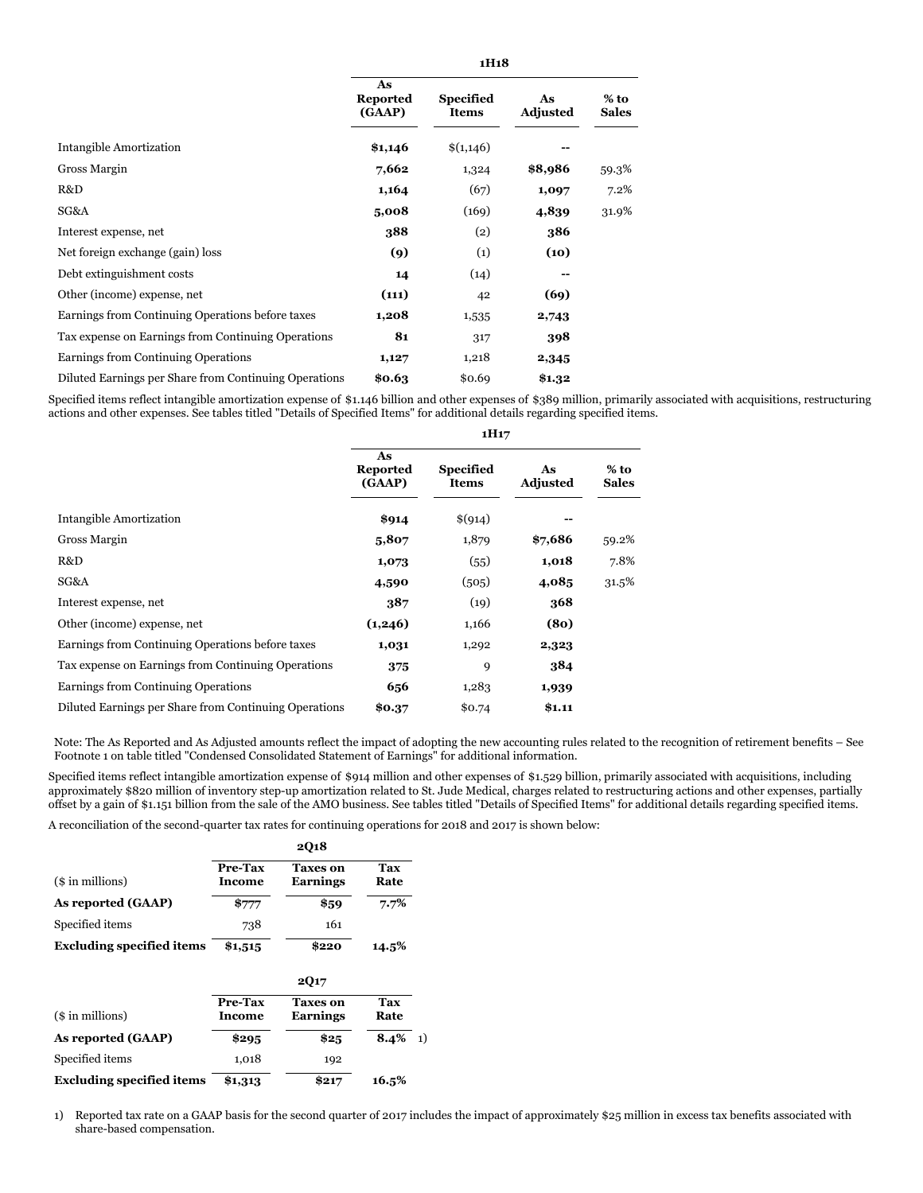|                                                       | As<br><b>Reported</b><br>(GAAP) | <b>Specified</b><br><b>Items</b> | As<br><b>Adjusted</b> | $%$ to<br><b>Sales</b> |
|-------------------------------------------------------|---------------------------------|----------------------------------|-----------------------|------------------------|
| Intangible Amortization                               | \$1,146                         | \$(1,146)                        |                       |                        |
| Gross Margin                                          | 7,662                           | 1,324                            | \$8,986               | 59.3%                  |
| R&D                                                   | 1,164                           | (67)                             | 1,097                 | 7.2%                   |
| SG&A                                                  | 5,008                           | (169)                            | 4,839                 | 31.9%                  |
| Interest expense, net                                 | 388                             | (2)                              | 386                   |                        |
| Net foreign exchange (gain) loss                      | (9)                             | (1)                              | (10)                  |                        |
| Debt extinguishment costs                             | 14                              | (14)                             | --                    |                        |
| Other (income) expense, net                           | (111)                           | 42                               | (69)                  |                        |
| Earnings from Continuing Operations before taxes      | 1,208                           | 1,535                            | 2,743                 |                        |
| Tax expense on Earnings from Continuing Operations    | 81                              | 317                              | 398                   |                        |
| Earnings from Continuing Operations                   | 1,127                           | 1,218                            | 2,345                 |                        |
| Diluted Earnings per Share from Continuing Operations | \$0.63                          | \$0.69                           | \$1.32                |                        |

Specified items reflect intangible amortization expense of \$1.146 billion and other expenses of \$389 million, primarily associated with acquisitions, restructuring actions and other expenses. See tables titled "Details of Specified Items" for additional details regarding specified items.

|                                                       | 1H <sub>17</sub>                |                                  |                       |                        |  |  |
|-------------------------------------------------------|---------------------------------|----------------------------------|-----------------------|------------------------|--|--|
|                                                       | As<br><b>Reported</b><br>(GAAP) | <b>Specified</b><br><b>Items</b> | As<br><b>Adjusted</b> | $%$ to<br><b>Sales</b> |  |  |
| Intangible Amortization                               | \$914                           | \$(914)                          |                       |                        |  |  |
| Gross Margin                                          | 5,807                           | 1,879                            | \$7,686               | 59.2%                  |  |  |
| R&D                                                   | 1,073                           | (55)                             | 1,018                 | 7.8%                   |  |  |
| SG&A                                                  | 4,590                           | (505)                            | 4,085                 | 31.5%                  |  |  |
| Interest expense, net                                 | 387                             | (19)                             | 368                   |                        |  |  |
| Other (income) expense, net                           | (1,246)                         | 1,166                            | (8 <sub>0</sub> )     |                        |  |  |
| Earnings from Continuing Operations before taxes      | 1,031                           | 1,292                            | 2,323                 |                        |  |  |
| Tax expense on Earnings from Continuing Operations    | 375                             | 9                                | 384                   |                        |  |  |
| Earnings from Continuing Operations                   | 656                             | 1,283                            | 1,939                 |                        |  |  |
| Diluted Earnings per Share from Continuing Operations | \$0.37                          | \$0.74                           | \$1.11                |                        |  |  |

Note: The As Reported and As Adjusted amounts reflect the impact of adopting the new accounting rules related to the recognition of retirement benefits – See Footnote 1 on table titled "Condensed Consolidated Statement of Earnings" for additional information.

Specified items reflect intangible amortization expense of \$914 million and other expenses of \$1.529 billion, primarily associated with acquisitions, including approximately \$820 million of inventory step-up amortization related to St. Jude Medical, charges related to restructuring actions and other expenses, partially offset by a gain of \$1.151 billion from the sale of the AMO business. See tables titled "Details of Specified Items" for additional details regarding specified items.

A reconciliation of the second-quarter tax rates for continuing operations for 2018 and 2017 is shown below:

|                                  | <b>2Q18</b>       |                                    |             |        |  |  |  |
|----------------------------------|-------------------|------------------------------------|-------------|--------|--|--|--|
| (\$ in millions)                 | Pre-Tax<br>Income | <b>Taxes</b> on<br><b>Earnings</b> | Tax<br>Rate |        |  |  |  |
| As reported (GAAP)               | \$777             | \$59                               | 7.7%        |        |  |  |  |
| Specified items                  | 738               | 161                                |             |        |  |  |  |
| <b>Excluding specified items</b> | \$1,515           | \$220                              | 14.5%       |        |  |  |  |
|                                  |                   | <b>2Q17</b>                        |             |        |  |  |  |
| (\$ in millions)                 | Pre-Tax<br>Income | <b>Taxes on</b><br><b>Earnings</b> | Tax<br>Rate |        |  |  |  |
| As reported (GAAP)               | \$295             | \$25                               | 8.4%        | $_{1}$ |  |  |  |
| Specified items                  | 1,018             | 192                                |             |        |  |  |  |
| <b>Excluding specified items</b> | \$1,313           | \$217                              | 16.5%       |        |  |  |  |

1) Reported tax rate on a GAAP basis for the second quarter of 2017 includes the impact of approximately \$25 million in excess tax benefits associated with share-based compensation.

**1H18**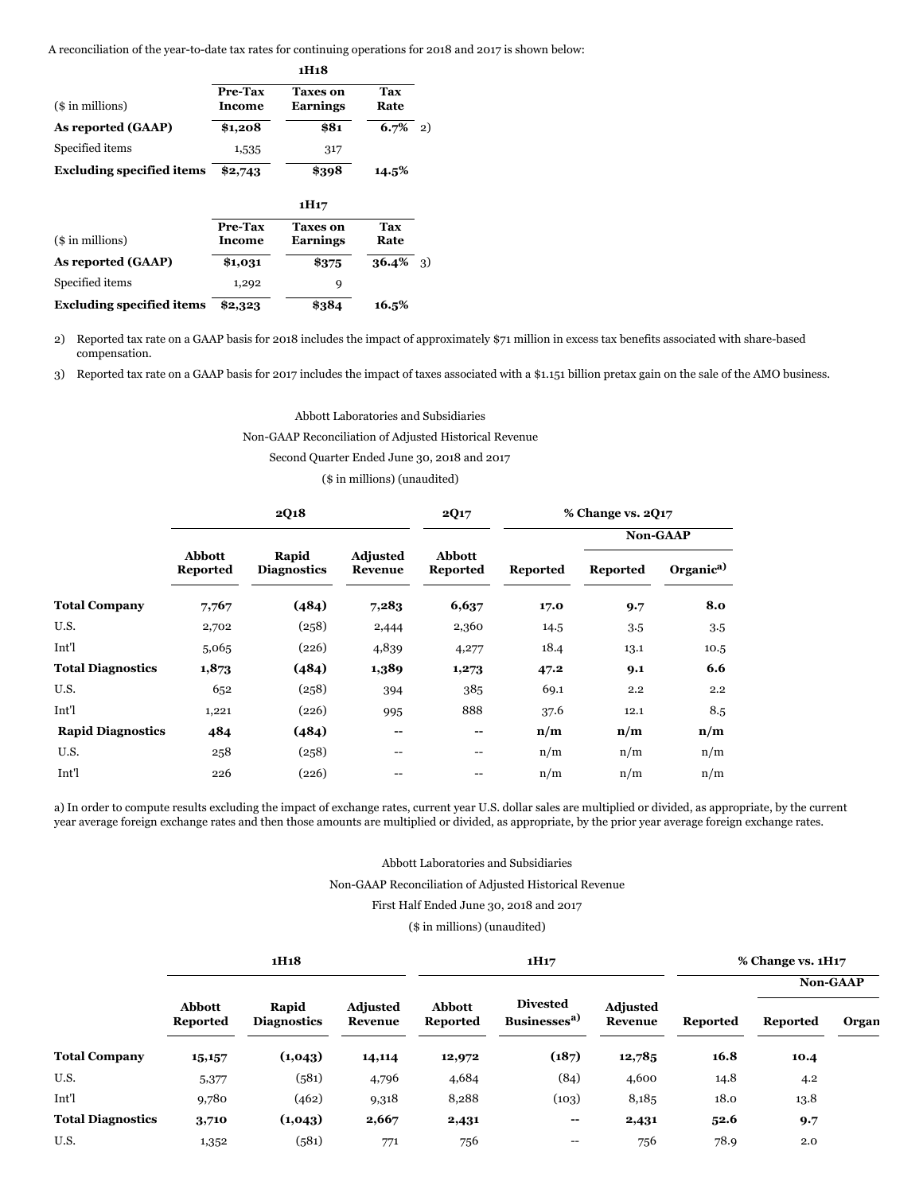A reconciliation of the year-to-date tax rates for continuing operations for 2018 and 2017 is shown below:

|                                  | 1H <sub>1</sub> 8        |                                    |                    |     |  |  |  |
|----------------------------------|--------------------------|------------------------------------|--------------------|-----|--|--|--|
| (\$ in millions)                 | Pre-Tax<br><b>Income</b> | <b>Taxes on</b><br><b>Earnings</b> | Tax<br>Rate        |     |  |  |  |
| As reported (GAAP)               | \$1,208                  | \$81                               | 6.7%               | 2)  |  |  |  |
| Specified items                  | 1,535                    | 317                                |                    |     |  |  |  |
| <b>Excluding specified items</b> | \$2,743                  | \$398                              | 14.5%              |     |  |  |  |
|                                  |                          |                                    |                    |     |  |  |  |
| (\$ in millions)                 | Pre-Tax<br>Income        | <b>Taxes on</b><br><b>Earnings</b> | <b>Tax</b><br>Rate |     |  |  |  |
| As reported (GAAP)               | \$1,031                  | \$375                              | 36.4%              | -3) |  |  |  |
| Specified items                  | 1,292                    | 9                                  |                    |     |  |  |  |
| <b>Excluding specified items</b> | \$2,323                  | \$384                              | 16.5%              |     |  |  |  |

2) Reported tax rate on a GAAP basis for 2018 includes the impact of approximately \$71 million in excess tax benefits associated with share-based compensation.

3) Reported tax rate on a GAAP basis for 2017 includes the impact of taxes associated with a \$1.151 billion pretax gain on the sale of the AMO business.

Abbott Laboratories and Subsidiaries

Non-GAAP Reconciliation of Adjusted Historical Revenue

Second Quarter Ended June 30, 2018 and 2017

(\$ in millions) (unaudited)

|                          |                                  | 2Q18                        |                            | <b>2Q17</b>                      |          | % Change vs. 2017 |                       |  |  |
|--------------------------|----------------------------------|-----------------------------|----------------------------|----------------------------------|----------|-------------------|-----------------------|--|--|
|                          |                                  |                             |                            |                                  |          |                   | Non-GAAP              |  |  |
|                          | <b>Abbott</b><br><b>Reported</b> | Rapid<br><b>Diagnostics</b> | <b>Adjusted</b><br>Revenue | <b>Abbott</b><br><b>Reported</b> | Reported | <b>Reported</b>   | Organic <sup>a)</sup> |  |  |
| <b>Total Company</b>     | 7,767                            | (484)                       | 7,283                      | 6,637                            | 17.0     | 9.7               | 8.0                   |  |  |
| U.S.                     | 2,702                            | (258)                       | 2,444                      | 2,360                            | 14.5     | 3.5               | 3.5                   |  |  |
| Int'l                    | 5,065                            | (226)                       | 4,839                      | 4,277                            | 18.4     | 13.1              | 10.5                  |  |  |
| <b>Total Diagnostics</b> | 1,873                            | (484)                       | 1,389                      | 1,273                            | 47.2     | 9.1               | 6.6                   |  |  |
| U.S.                     | 652                              | (258)                       | 394                        | 385                              | 69.1     | 2.2               | 2.2                   |  |  |
| Int'l                    | 1,221                            | (226)                       | 995                        | 888                              | 37.6     | 12.1              | 8.5                   |  |  |
| <b>Rapid Diagnostics</b> | 484                              | (484)                       | --                         | --                               | n/m      | n/m               | n/m                   |  |  |
| U.S.                     | 258                              | (258)                       | $- -$                      | $- -$                            | n/m      | n/m               | n/m                   |  |  |
| Int'l                    | 226                              | (226)                       |                            |                                  | n/m      | n/m               | n/m                   |  |  |

a) In order to compute results excluding the impact of exchange rates, current year U.S. dollar sales are multiplied or divided, as appropriate, by the current year average foreign exchange rates and then those amounts are multiplied or divided, as appropriate, by the prior year average foreign exchange rates.

### Abbott Laboratories and Subsidiaries

Non-GAAP Reconciliation of Adjusted Historical Revenue

### First Half Ended June 30, 2018 and 2017

### (\$ in millions) (unaudited)

|                          |                                  | 1H <sub>1</sub> 8           |                            |                           | 1H <sub>17</sub>                            | % Change vs. 1H17          |                 |                 |          |
|--------------------------|----------------------------------|-----------------------------|----------------------------|---------------------------|---------------------------------------------|----------------------------|-----------------|-----------------|----------|
|                          |                                  |                             |                            |                           |                                             |                            |                 |                 | Non-GAAP |
|                          | <b>Abbott</b><br><b>Reported</b> | Rapid<br><b>Diagnostics</b> | <b>Adjusted</b><br>Revenue | Abbott<br><b>Reported</b> | <b>Divested</b><br>Businesses <sup>a)</sup> | <b>Adjusted</b><br>Revenue | <b>Reported</b> | <b>Reported</b> | Organ    |
| <b>Total Company</b>     | 15,157                           | (1,043)                     | 14,114                     | 12,972                    | (187)                                       | 12,785                     | 16.8            | 10.4            |          |
| U.S.                     | 5,377                            | (581)                       | 4,796                      | 4,684                     | (84)                                        | 4,600                      | 14.8            | 4.2             |          |
| Int'l                    | 9,780                            | (462)                       | 9,318                      | 8,288                     | (103)                                       | 8,185                      | 18.0            | 13.8            |          |
| <b>Total Diagnostics</b> | 3,710                            | (1,043)                     | 2,667                      | 2,431                     | --                                          | 2,431                      | 52.6            | 9.7             |          |
| U.S.                     | 1,352                            | (581)                       | 771                        | 756                       | $\hspace{0.05cm}$ – $\hspace{0.05cm}$       | 756                        | 78.9            | 2.0             |          |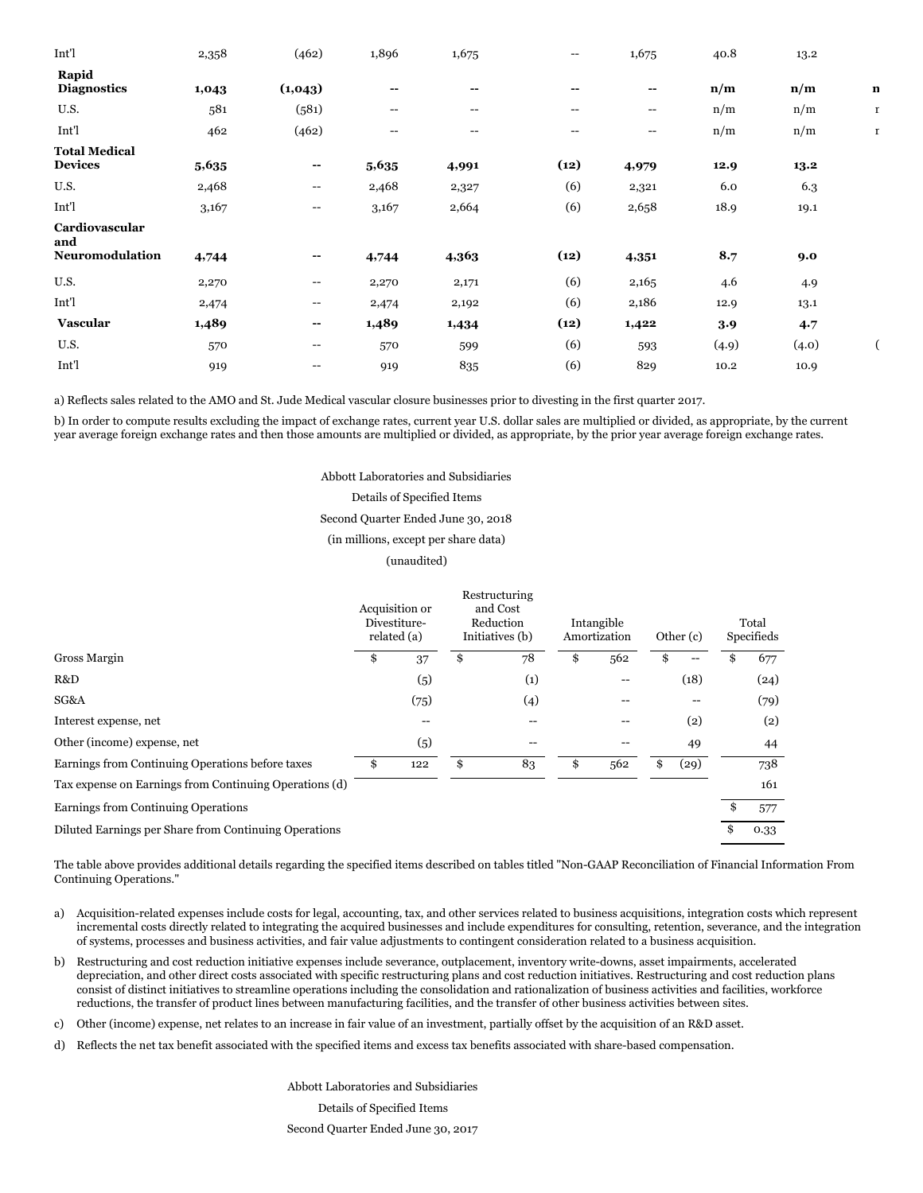| Int'l                                  | 2,358 | (462)                                 | 1,896                                 | 1,675                                 | $\hspace{0.05cm}$ – $\hspace{0.05cm}$ | 1,675                    | 40.8  | 13.2  |             |
|----------------------------------------|-------|---------------------------------------|---------------------------------------|---------------------------------------|---------------------------------------|--------------------------|-------|-------|-------------|
| Rapid<br><b>Diagnostics</b>            | 1,043 | (1,043)                               | --                                    | $-$                                   | $- -$                                 | $\overline{\phantom{a}}$ | n/m   | n/m   | $\mathbf n$ |
| U.S.                                   | 581   | (581)                                 | $\hspace{0.05cm}$ – $\hspace{0.05cm}$ | $\hspace{0.05cm}$ – $\hspace{0.05cm}$ | $\overline{\phantom{a}}$              | $-\!$ $\!-$              | n/m   | n/m   | $\mathbf r$ |
| Int'l                                  | 462   | (462)                                 | $\hspace{0.05cm}$ – $\hspace{0.05cm}$ | $\hspace{0.05cm}$ – $\hspace{0.05cm}$ | $\hspace{0.05cm}$ – $\hspace{0.05cm}$ | $\hspace{0.05cm} \dashv$ | n/m   | n/m   | <b>r</b>    |
| <b>Total Medical</b><br><b>Devices</b> | 5,635 | $\overline{\phantom{a}}$              | 5,635                                 | 4,991                                 | (12)                                  | 4,979                    | 12.9  | 13.2  |             |
| U.S.                                   | 2,468 | $\hspace{0.05cm}$ $\hspace{0.05cm}$   | 2,468                                 | 2,327                                 | (6)                                   | 2,321                    | 6.0   | 6.3   |             |
| Int'l                                  | 3,167 | --                                    | 3,167                                 | 2,664                                 | (6)                                   | 2,658                    | 18.9  | 19.1  |             |
| Cardiovascular<br>and                  |       |                                       |                                       |                                       |                                       |                          |       |       |             |
| Neuromodulation                        | 4,744 | $- -$                                 | 4,744                                 | 4,363                                 | (12)                                  | 4,351                    | 8.7   | 9.0   |             |
| U.S.                                   | 2,270 | $-\!$ $\!-$                           | 2,270                                 | 2,171                                 | (6)                                   | 2,165                    | 4.6   | 4.9   |             |
| Int'l                                  | 2,474 | $\hspace{0.05cm}$ – $\hspace{0.05cm}$ | 2,474                                 | 2,192                                 | (6)                                   | 2,186                    | 12.9  | 13.1  |             |
| Vascular                               | 1,489 | --                                    | 1,489                                 | 1,434                                 | (12)                                  | 1,422                    | 3.9   | 4.7   |             |
| U.S.                                   | 570   | --                                    | 570                                   | 599                                   | (6)                                   | 593                      | (4.9) | (4.0) |             |
| Int'l                                  | 919   | --                                    | 919                                   | 835                                   | (6)                                   | 829                      | 10.2  | 10.9  |             |

a) Reflects sales related to the AMO and St. Jude Medical vascular closure businesses prior to divesting in the first quarter 2017.

b) In order to compute results excluding the impact of exchange rates, current year U.S. dollar sales are multiplied or divided, as appropriate, by the current year average foreign exchange rates and then those amounts are multiplied or divided, as appropriate, by the prior year average foreign exchange rates.

#### Abbott Laboratories and Subsidiaries

#### Details of Specified Items

## Second Quarter Ended June 30, 2018

### (in millions, except per share data)

#### (unaudited)

|                                                        | Acquisition or<br>Divestiture-<br>related (a) |      | Restructuring<br>and Cost<br>Reduction<br>Initiatives (b) |                   | Intangible<br>Amortization |     | Other (c) |      | Total<br>Specifieds |      |
|--------------------------------------------------------|-----------------------------------------------|------|-----------------------------------------------------------|-------------------|----------------------------|-----|-----------|------|---------------------|------|
| Gross Margin                                           | \$                                            | 37   | \$                                                        | 78                | \$                         | 562 | \$        | $-$  |                     | 677  |
| R&D                                                    |                                               | (5)  |                                                           | $\left( 1\right)$ |                            | --  |           | (18) |                     | (24) |
| SG&A                                                   |                                               | (75) |                                                           | (4)               |                            |     |           |      |                     | (79) |
| Interest expense, net                                  |                                               | --   |                                                           | --                |                            | --  |           | (2)  |                     | (2)  |
| Other (income) expense, net                            |                                               | (5)  |                                                           |                   |                            | --  |           | 49   |                     | 44   |
| Earnings from Continuing Operations before taxes       | \$                                            | 122  | \$                                                        | 83                | \$                         | 562 | \$        | (29) |                     | 738  |
| Tax expense on Earnings from Continuing Operations (d) |                                               |      |                                                           |                   |                            |     |           |      |                     | 161  |
| Earnings from Continuing Operations                    |                                               |      |                                                           |                   |                            |     |           |      |                     | 577  |
| Diluted Earnings per Share from Continuing Operations  |                                               |      |                                                           |                   |                            |     |           |      |                     | 0.33 |

The table above provides additional details regarding the specified items described on tables titled "Non-GAAP Reconciliation of Financial Information From Continuing Operations."

- a) Acquisition-related expenses include costs for legal, accounting, tax, and other services related to business acquisitions, integration costs which represent incremental costs directly related to integrating the acquired businesses and include expenditures for consulting, retention, severance, and the integration of systems, processes and business activities, and fair value adjustments to contingent consideration related to a business acquisition.
- b) Restructuring and cost reduction initiative expenses include severance, outplacement, inventory write-downs, asset impairments, accelerated depreciation, and other direct costs associated with specific restructuring plans and cost reduction initiatives. Restructuring and cost reduction plans consist of distinct initiatives to streamline operations including the consolidation and rationalization of business activities and facilities, workforce reductions, the transfer of product lines between manufacturing facilities, and the transfer of other business activities between sites.
- c) Other (income) expense, net relates to an increase in fair value of an investment, partially offset by the acquisition of an R&D asset.
- d) Reflects the net tax benefit associated with the specified items and excess tax benefits associated with share-based compensation.

Abbott Laboratories and Subsidiaries Details of Specified Items Second Quarter Ended June 30, 2017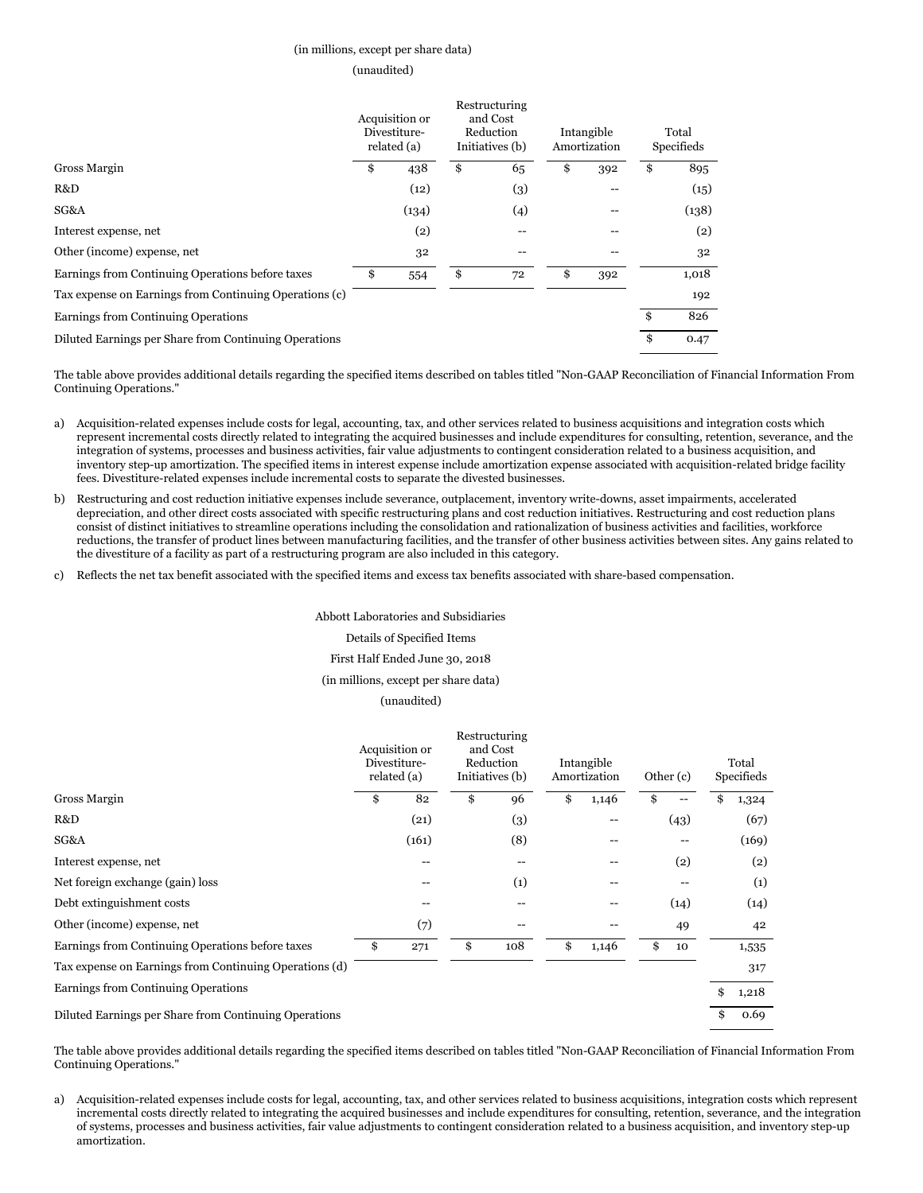### (in millions, except per share data)

#### (unaudited)

|                                                        | Acquisition or<br>Divestiture-<br>related (a) | Restructuring<br>and Cost<br>Reduction<br>Initiatives (b) | Intangible<br>Amortization | Total<br>Specifieds |       |
|--------------------------------------------------------|-----------------------------------------------|-----------------------------------------------------------|----------------------------|---------------------|-------|
| Gross Margin                                           | \$<br>438                                     | \$<br>65                                                  | \$<br>392                  | \$                  | 895   |
| R&D                                                    | (12)                                          | (3)                                                       | --                         |                     | (15)  |
| SG&A                                                   | (134)                                         | (4)                                                       |                            |                     | (138) |
| Interest expense, net                                  | (2)                                           |                                                           |                            |                     | (2)   |
| Other (income) expense, net                            | 32                                            |                                                           |                            |                     | 32    |
| Earnings from Continuing Operations before taxes       | \$<br>554                                     | \$<br>72                                                  | \$<br>392                  |                     | 1,018 |
| Tax expense on Earnings from Continuing Operations (c) |                                               |                                                           |                            |                     | 192   |
| Earnings from Continuing Operations                    |                                               |                                                           |                            | \$                  | 826   |
| Diluted Earnings per Share from Continuing Operations  |                                               |                                                           |                            | \$                  | 0.47  |

The table above provides additional details regarding the specified items described on tables titled "Non-GAAP Reconciliation of Financial Information From Continuing Operations."

- a) Acquisition-related expenses include costs for legal, accounting, tax, and other services related to business acquisitions and integration costs which represent incremental costs directly related to integrating the acquired businesses and include expenditures for consulting, retention, severance, and the integration of systems, processes and business activities, fair value adjustments to contingent consideration related to a business acquisition, and inventory step-up amortization. The specified items in interest expense include amortization expense associated with acquisition-related bridge facility fees. Divestiture-related expenses include incremental costs to separate the divested businesses.
- b) Restructuring and cost reduction initiative expenses include severance, outplacement, inventory write-downs, asset impairments, accelerated depreciation, and other direct costs associated with specific restructuring plans and cost reduction initiatives. Restructuring and cost reduction plans consist of distinct initiatives to streamline operations including the consolidation and rationalization of business activities and facilities, workforce reductions, the transfer of product lines between manufacturing facilities, and the transfer of other business activities between sites. Any gains related to the divestiture of a facility as part of a restructuring program are also included in this category.
- c) Reflects the net tax benefit associated with the specified items and excess tax benefits associated with share-based compensation.

#### Abbott Laboratories and Subsidiaries

### Details of Specified Items

#### First Half Ended June 30, 2018

(in millions, except per share data)

### (unaudited)

|                                                        |    | Acquisition or<br>Divestiture-<br>related (a) |    | Restructuring<br>and Cost<br>Reduction<br>Initiatives (b) |    | Intangible<br>Amortization            |    | Other (c) |    | Total<br>Specifieds |  |
|--------------------------------------------------------|----|-----------------------------------------------|----|-----------------------------------------------------------|----|---------------------------------------|----|-----------|----|---------------------|--|
| Gross Margin                                           | \$ | 82                                            | \$ | 96                                                        | \$ | 1,146                                 | \$ |           | \$ | 1,324               |  |
| R&D                                                    |    | (21)                                          |    | (3)                                                       |    | $\hspace{0.05cm}$ – $\hspace{0.05cm}$ |    | (43)      |    | (67)                |  |
| SG&A                                                   |    | (161)                                         |    | (8)                                                       |    |                                       |    |           |    | (169)               |  |
| Interest expense, net                                  |    | $-$                                           |    | $-$                                                       |    | --                                    |    | (2)       |    | (2)                 |  |
| Net foreign exchange (gain) loss                       |    |                                               |    | (1)                                                       |    |                                       |    |           |    | (1)                 |  |
| Debt extinguishment costs                              |    |                                               |    |                                                           |    |                                       |    | (14)      |    | (14)                |  |
| Other (income) expense, net                            |    | (7)                                           |    | $- -$                                                     |    | $\hspace{0.05cm}$ – $\hspace{0.05cm}$ |    | 49        |    | 42                  |  |
| Earnings from Continuing Operations before taxes       | \$ | 271                                           | \$ | 108                                                       | \$ | 1,146                                 | \$ | 10        |    | 1,535               |  |
| Tax expense on Earnings from Continuing Operations (d) |    |                                               |    |                                                           |    |                                       |    |           |    | 317                 |  |
| Earnings from Continuing Operations                    |    |                                               |    |                                                           |    |                                       |    |           | \$ | 1,218               |  |
| Diluted Earnings per Share from Continuing Operations  |    |                                               |    |                                                           |    |                                       |    |           |    | 0.69                |  |

The table above provides additional details regarding the specified items described on tables titled "Non-GAAP Reconciliation of Financial Information From Continuing Operations."

a) Acquisition-related expenses include costs for legal, accounting, tax, and other services related to business acquisitions, integration costs which represent incremental costs directly related to integrating the acquired businesses and include expenditures for consulting, retention, severance, and the integration of systems, processes and business activities, fair value adjustments to contingent consideration related to a business acquisition, and inventory step-up amortization.